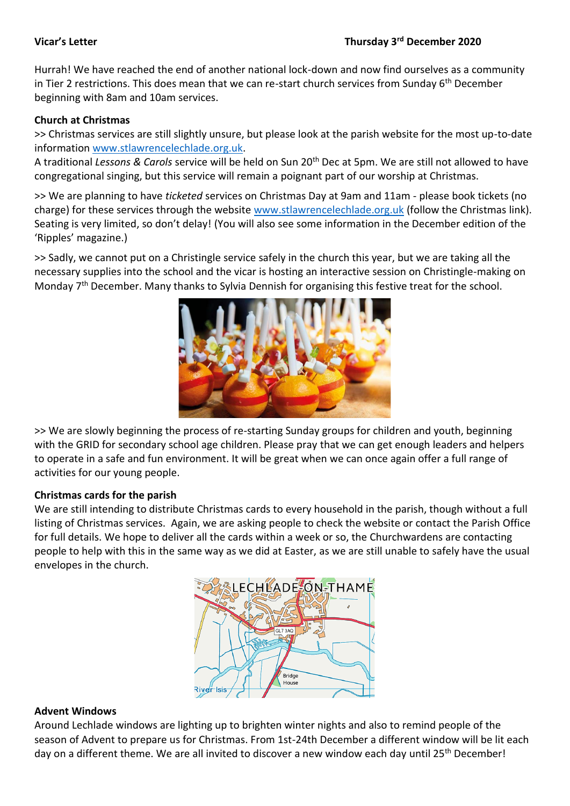### **Vicar's Letter Thursday 3rd December 2020**

Hurrah! We have reached the end of another national lock-down and now find ourselves as a community in Tier 2 restrictions. This does mean that we can re-start church services from Sunday 6<sup>th</sup> December beginning with 8am and 10am services.

## **Church at Christmas**

>> Christmas services are still slightly unsure, but please look at the parish website for the most up-to-date information [www.stlawrencelechlade.org.uk.](http://www.stlawrencelechlade.org.uk/)

A traditional *Lessons & Carols* service will be held on Sun 20th Dec at 5pm. We are still not allowed to have congregational singing, but this service will remain a poignant part of our worship at Christmas.

>> We are planning to have *ticketed* services on Christmas Day at 9am and 11am - please book tickets (no charge) for these services through the website [www.stlawrencelechlade.org.uk](http://www.stlawrencelechlade.org.uk/) (follow the Christmas link). Seating is very limited, so don't delay! (You will also see some information in the December edition of the 'Ripples' magazine.)

>> Sadly, we cannot put on a Christingle service safely in the church this year, but we are taking all the necessary supplies into the school and the vicar is hosting an interactive session on Christingle-making on Monday 7<sup>th</sup> December. Many thanks to Sylvia Dennish for organising this festive treat for the school.



>> We are slowly beginning the process of re-starting Sunday groups for children and youth, beginning with the GRID for secondary school age children. Please pray that we can get enough leaders and helpers to operate in a safe and fun environment. It will be great when we can once again offer a full range of activities for our young people.

# **Christmas cards for the parish**

We are still intending to distribute Christmas cards to every household in the parish, though without a full listing of Christmas services. Again, we are asking people to check the website or contact the Parish Office for full details. We hope to deliver all the cards within a week or so, the Churchwardens are contacting people to help with this in the same way as we did at Easter, as we are still unable to safely have the usual envelopes in the church.



### **Advent Windows**

Around Lechlade windows are lighting up to brighten winter nights and also to remind people of the season of Advent to prepare us for Christmas. From 1st-24th December a different window will be lit each day on a different theme. We are all invited to discover a new window each day until 25<sup>th</sup> December!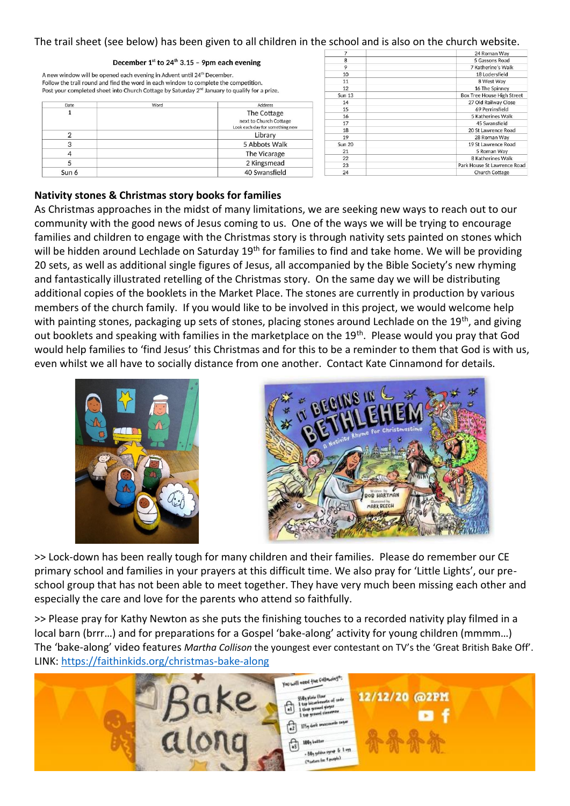### The trail sheet (see below) has been given to all children in the school and is also on the church website.

### 24 Roman Way 5 Gassons Road December  $1^{st}$  to 24<sup>th</sup> 3.15 - 9pm each evening 7 Katherine's Walk  $10$ 18 Lodersfield A new window will be opened each evening in Advent until 24<sup>th</sup> December. 8 West Way Follow the trail round and find the word in each window to complete the competition. 11 16 The Spinney  $12$ Post your completed sheet into Church Cottage by Saturday 2<sup>nd</sup> January to qualify for a prize. Sun 13 **Box Tree House High Street** 27 Old Railway Close Address Date Word 15 69 Perrinsfield  $\overline{1}$ The Cottage 16 5 Katherines Walk next to Church Cottage 45 Swansfield  $17$ Look each day for something nev 18 20 St Lawrence Road  $\overline{2}$ Library 28 Roman Way 19 3 5 Abbots Walk Sun 20 19 St Lawrence Road 21 5 Roman Way  $\overline{4}$ The Vicarage  $\overline{22}$ 8 Katherines Walk 5 2 Kingsmead 23 Park House St Lawrence Road Sun 6 40 Swansfield 24 Church Cottage

### **Nativity stones & Christmas story books for families**

As Christmas approaches in the midst of many limitations, we are seeking new ways to reach out to our community with the good news of Jesus coming to us. One of the ways we will be trying to encourage families and children to engage with the Christmas story is through nativity sets painted on stones which will be hidden around Lechlade on Saturday 19<sup>th</sup> for families to find and take home. We will be providing 20 sets, as well as additional single figures of Jesus, all accompanied by the Bible Society's new rhyming and fantastically illustrated retelling of the Christmas story. On the same day we will be distributing additional copies of the booklets in the Market Place. The stones are currently in production by various members of the church family. If you would like to be involved in this project, we would welcome help with painting stones, packaging up sets of stones, placing stones around Lechlade on the 19<sup>th</sup>, and giving out booklets and speaking with families in the marketplace on the 19<sup>th</sup>. Please would you pray that God would help families to 'find Jesus' this Christmas and for this to be a reminder to them that God is with us, even whilst we all have to socially distance from one another. Contact Kate Cinnamond for details.





>> Lock-down has been really tough for many children and their families. Please do remember our CE primary school and families in your prayers at this difficult time. We also pray for 'Little Lights', our preschool group that has not been able to meet together. They have very much been missing each other and especially the care and love for the parents who attend so faithfully.

>> Please pray for Kathy Newton as she puts the finishing touches to a recorded nativity play filmed in a local barn (brrr…) and for preparations for a Gospel 'bake-along' activity for young children (mmmm…) The 'bake-along' video features *Martha Collison* the youngest ever contestant on TV's the 'Great British Bake Off'. LINK:<https://faithinkids.org/christmas-bake-along>

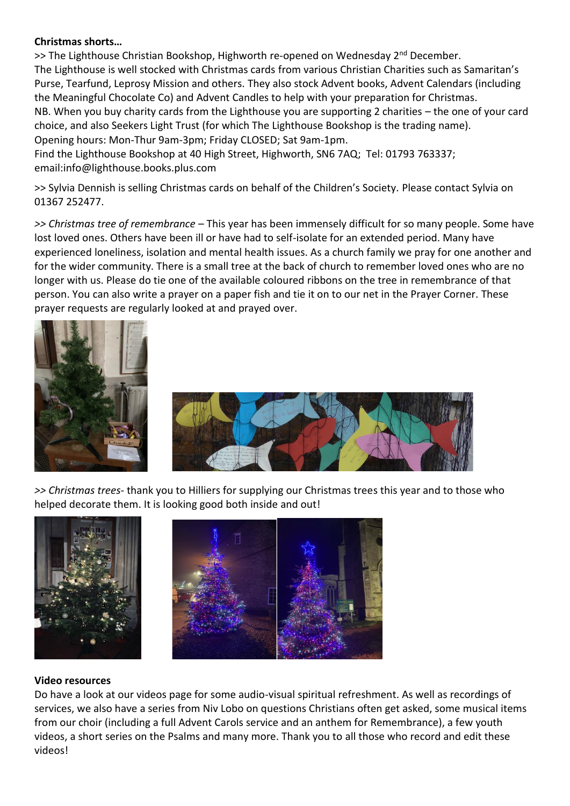# **Christmas shorts…**

>> The Lighthouse Christian Bookshop, Highworth re-opened on Wednesday 2<sup>nd</sup> December. The Lighthouse is well stocked with Christmas cards from various Christian Charities such as Samaritan's Purse, Tearfund, Leprosy Mission and others. They also stock Advent books, Advent Calendars (including the Meaningful Chocolate Co) and Advent Candles to help with your preparation for Christmas. NB. When you buy charity cards from the Lighthouse you are supporting 2 charities – the one of your card choice, and also Seekers Light Trust (for which The Lighthouse Bookshop is the trading name). Opening hours: Mon-Thur 9am-3pm; Friday CLOSED; Sat 9am-1pm.

Find the Lighthouse Bookshop at 40 High Street, Highworth, SN6 7AQ; Tel: 01793 763337; email:info@lighthouse.books.plus.com

>> Sylvia Dennish is selling Christmas cards on behalf of the Children's Society. Please contact Sylvia on 01367 252477.

*>> Christmas tree of remembrance* – This year has been immensely difficult for so many people. Some have lost loved ones. Others have been ill or have had to self-isolate for an extended period. Many have experienced loneliness, isolation and mental health issues. As a church family we pray for one another and for the wider community. There is a small tree at the back of church to remember loved ones who are no longer with us. Please do tie one of the available coloured ribbons on the tree in remembrance of that person. You can also write a prayer on a paper fish and tie it on to our net in the Prayer Corner. These prayer requests are regularly looked at and prayed over.





*>> Christmas trees-* thank you to Hilliers for supplying our Christmas trees this year and to those who helped decorate them. It is looking good both inside and out!



### **Video resources**

Do have a look at our videos page for some audio-visual spiritual refreshment. As well as recordings of services, we also have a series from Niv Lobo on questions Christians often get asked, some musical items from our choir (including a full Advent Carols service and an anthem for Remembrance), a few youth videos, a short series on the Psalms and many more. Thank you to all those who record and edit these videos!